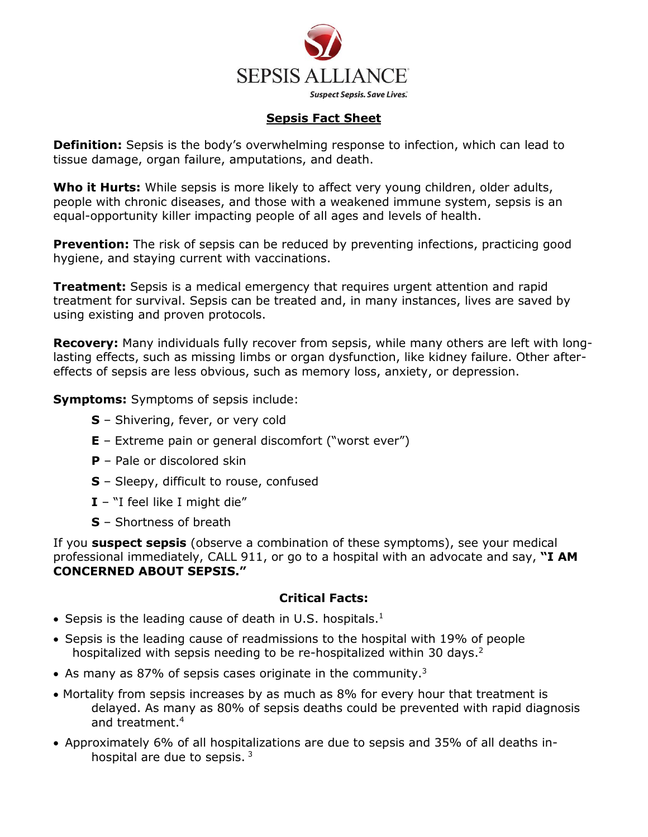

# **Sepsis Fact Sheet**

**Definition:** Sepsis is the body's overwhelming response to infection, which can lead to tissue damage, organ failure, amputations, and death.

**Who it Hurts:** While sepsis is more likely to affect very young children, older adults, people with chronic diseases, and those with a weakened immune system, sepsis is an equal-opportunity killer impacting people of all ages and levels of health.

**Prevention:** The risk of sepsis can be reduced by preventing infections, practicing good hygiene, and staying current with vaccinations.

**Treatment:** Sepsis is a medical emergency that requires urgent attention and rapid treatment for survival. Sepsis can be treated and, in many instances, lives are saved by using existing and proven protocols.

**Recovery:** Many individuals fully recover from sepsis, while many others are left with longlasting effects, such as missing limbs or organ dysfunction, like kidney failure. Other aftereffects of sepsis are less obvious, such as memory loss, anxiety, or depression.

**Symptoms:** Symptoms of sepsis include:

- **S** Shivering, fever, or very cold
- **E** Extreme pain or general discomfort ("worst ever")
- **P** Pale or discolored skin
- **S** Sleepy, difficult to rouse, confused
- **I** "I feel like I might die"
- **S** Shortness of breath

If you **suspect sepsis** (observe a combination of these symptoms), see your medical professional immediately, CALL 911, or go to a hospital with an advocate and say, **"I AM CONCERNED ABOUT SEPSIS."**

# **Critical Facts:**

- $\bullet$  Sepsis is the leading cause of death in U.S. hospitals.<sup>1</sup>
- Sepsis is the leading cause of readmissions to the hospital with 19% of people hospitalized with sepsis needing to be re-hospitalized within 30 days.<sup>2</sup>
- As many as 87% of sepsis cases originate in the community.<sup>3</sup>
- Mortality from sepsis increases by as much as 8% for every hour that treatment is delayed. As many as 80% of sepsis deaths could be prevented with rapid diagnosis and treatment. 4
- Approximately 6% of all hospitalizations are due to sepsis and 35% of all deaths inhospital are due to sepsis. <sup>3</sup>